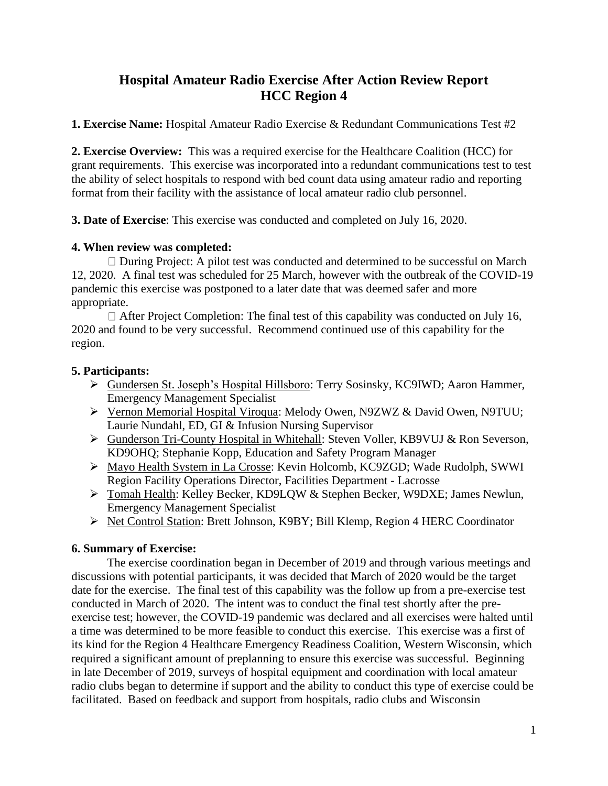## **Hospital Amateur Radio Exercise After Action Review Report HCC Region 4**

**1. Exercise Name:** Hospital Amateur Radio Exercise & Redundant Communications Test #2

**2. Exercise Overview:** This was a required exercise for the Healthcare Coalition (HCC) for grant requirements. This exercise was incorporated into a redundant communications test to test the ability of select hospitals to respond with bed count data using amateur radio and reporting format from their facility with the assistance of local amateur radio club personnel.

**3. Date of Exercise**: This exercise was conducted and completed on July 16, 2020.

## **4. When review was completed:**

 $\Box$  During Project: A pilot test was conducted and determined to be successful on March 12, 2020. A final test was scheduled for 25 March, however with the outbreak of the COVID-19 pandemic this exercise was postponed to a later date that was deemed safer and more appropriate.

 $\Box$  After Project Completion: The final test of this capability was conducted on July 16, 2020 and found to be very successful. Recommend continued use of this capability for the region.

## **5. Participants:**

- ➢ Gundersen St. Joseph's Hospital Hillsboro: Terry Sosinsky, KC9IWD; Aaron Hammer, Emergency Management Specialist
- ➢ Vernon Memorial Hospital Viroqua: Melody Owen, N9ZWZ & David Owen, N9TUU; Laurie Nundahl, ED, GI & Infusion Nursing Supervisor
- ➢ Gunderson Tri-County Hospital in Whitehall: Steven Voller, KB9VUJ & Ron Severson, KD9OHQ; Stephanie Kopp, Education and Safety Program Manager
- ➢ Mayo Health System in La Crosse: Kevin Holcomb, KC9ZGD; Wade Rudolph, SWWI Region Facility Operations Director, Facilities Department - Lacrosse
- ➢ Tomah Health: Kelley Becker, KD9LQW & Stephen Becker, W9DXE; James Newlun, Emergency Management Specialist
- ➢ Net Control Station: Brett Johnson, K9BY; Bill Klemp, Region 4 HERC Coordinator

## **6. Summary of Exercise:**

The exercise coordination began in December of 2019 and through various meetings and discussions with potential participants, it was decided that March of 2020 would be the target date for the exercise. The final test of this capability was the follow up from a pre-exercise test conducted in March of 2020. The intent was to conduct the final test shortly after the preexercise test; however, the COVID-19 pandemic was declared and all exercises were halted until a time was determined to be more feasible to conduct this exercise. This exercise was a first of its kind for the Region 4 Healthcare Emergency Readiness Coalition, Western Wisconsin, which required a significant amount of preplanning to ensure this exercise was successful. Beginning in late December of 2019, surveys of hospital equipment and coordination with local amateur radio clubs began to determine if support and the ability to conduct this type of exercise could be facilitated. Based on feedback and support from hospitals, radio clubs and Wisconsin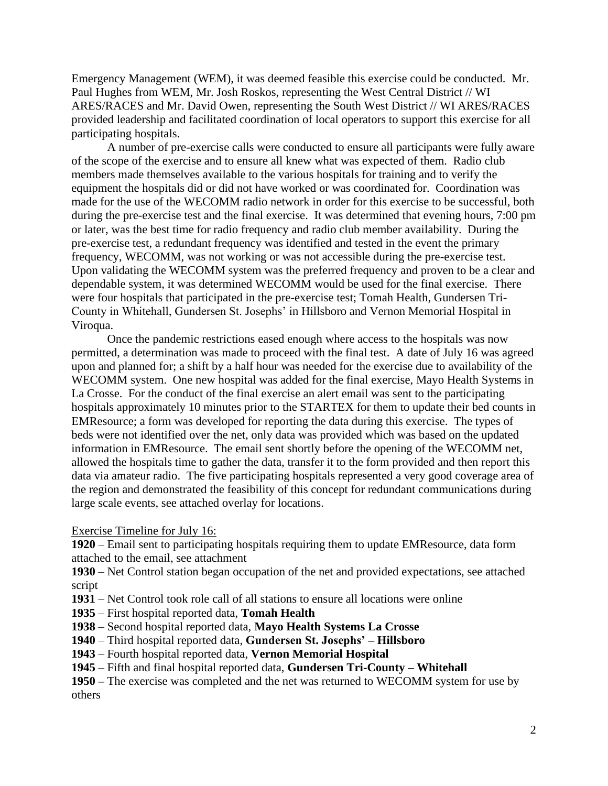Emergency Management (WEM), it was deemed feasible this exercise could be conducted. Mr. Paul Hughes from WEM, Mr. Josh Roskos, representing the West Central District // WI ARES/RACES and Mr. David Owen, representing the South West District // WI ARES/RACES provided leadership and facilitated coordination of local operators to support this exercise for all participating hospitals.

A number of pre-exercise calls were conducted to ensure all participants were fully aware of the scope of the exercise and to ensure all knew what was expected of them. Radio club members made themselves available to the various hospitals for training and to verify the equipment the hospitals did or did not have worked or was coordinated for. Coordination was made for the use of the WECOMM radio network in order for this exercise to be successful, both during the pre-exercise test and the final exercise. It was determined that evening hours, 7:00 pm or later, was the best time for radio frequency and radio club member availability. During the pre-exercise test, a redundant frequency was identified and tested in the event the primary frequency, WECOMM, was not working or was not accessible during the pre-exercise test. Upon validating the WECOMM system was the preferred frequency and proven to be a clear and dependable system, it was determined WECOMM would be used for the final exercise. There were four hospitals that participated in the pre-exercise test; Tomah Health, Gundersen Tri-County in Whitehall, Gundersen St. Josephs' in Hillsboro and Vernon Memorial Hospital in Viroqua.

Once the pandemic restrictions eased enough where access to the hospitals was now permitted, a determination was made to proceed with the final test. A date of July 16 was agreed upon and planned for; a shift by a half hour was needed for the exercise due to availability of the WECOMM system. One new hospital was added for the final exercise, Mayo Health Systems in La Crosse. For the conduct of the final exercise an alert email was sent to the participating hospitals approximately 10 minutes prior to the STARTEX for them to update their bed counts in EMResource; a form was developed for reporting the data during this exercise. The types of beds were not identified over the net, only data was provided which was based on the updated information in EMResource. The email sent shortly before the opening of the WECOMM net, allowed the hospitals time to gather the data, transfer it to the form provided and then report this data via amateur radio. The five participating hospitals represented a very good coverage area of the region and demonstrated the feasibility of this concept for redundant communications during large scale events, see attached overlay for locations.

Exercise Timeline for July 16:

**1920** – Email sent to participating hospitals requiring them to update EMResource, data form attached to the email, see attachment

**1930** – Net Control station began occupation of the net and provided expectations, see attached script

**1931** – Net Control took role call of all stations to ensure all locations were online

**1935** – First hospital reported data, **Tomah Health**

**1938** – Second hospital reported data, **Mayo Health Systems La Crosse**

**1940** – Third hospital reported data, **Gundersen St. Josephs' – Hillsboro**

**1943** – Fourth hospital reported data, **Vernon Memorial Hospital**

**1945** – Fifth and final hospital reported data, **Gundersen Tri-County – Whitehall**

**1950 –** The exercise was completed and the net was returned to WECOMM system for use by others